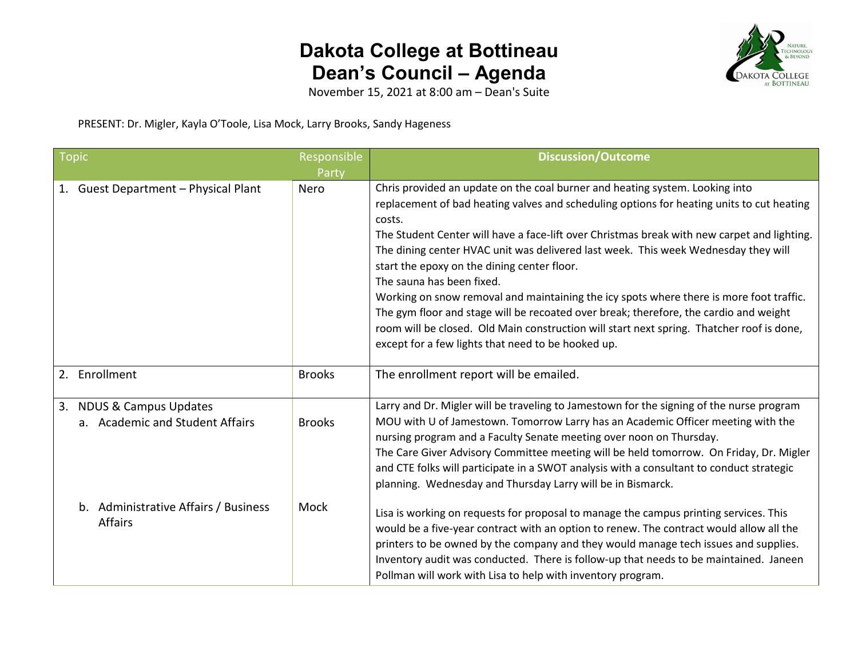## **Dakota College at Bottineau Dean's Council – Agenda**



November 15, 2021 at 8:00 am – Dean's Suite

PRESENT: Dr. Migler, Kayla O'Toole, Lisa Mock, Larry Brooks, Sandy Hageness

| <b>Topic</b> |                                                             | Responsible<br>Party | <b>Discussion/Outcome</b>                                                                                                                                                                                                                                                                                                                                                                                                                                                                                                                                                                                                                                                                                                                                                                   |
|--------------|-------------------------------------------------------------|----------------------|---------------------------------------------------------------------------------------------------------------------------------------------------------------------------------------------------------------------------------------------------------------------------------------------------------------------------------------------------------------------------------------------------------------------------------------------------------------------------------------------------------------------------------------------------------------------------------------------------------------------------------------------------------------------------------------------------------------------------------------------------------------------------------------------|
|              | 1. Guest Department - Physical Plant                        | Nero                 | Chris provided an update on the coal burner and heating system. Looking into<br>replacement of bad heating valves and scheduling options for heating units to cut heating<br>costs.<br>The Student Center will have a face-lift over Christmas break with new carpet and lighting.<br>The dining center HVAC unit was delivered last week. This week Wednesday they will<br>start the epoxy on the dining center floor.<br>The sauna has been fixed.<br>Working on snow removal and maintaining the icy spots where there is more foot traffic.<br>The gym floor and stage will be recoated over break; therefore, the cardio and weight<br>room will be closed. Old Main construction will start next spring. Thatcher roof is done,<br>except for a few lights that need to be hooked up. |
|              | 2. Enrollment                                               | <b>Brooks</b>        | The enrollment report will be emailed.                                                                                                                                                                                                                                                                                                                                                                                                                                                                                                                                                                                                                                                                                                                                                      |
|              | 3. NDUS & Campus Updates<br>a. Academic and Student Affairs | <b>Brooks</b>        | Larry and Dr. Migler will be traveling to Jamestown for the signing of the nurse program<br>MOU with U of Jamestown. Tomorrow Larry has an Academic Officer meeting with the<br>nursing program and a Faculty Senate meeting over noon on Thursday.<br>The Care Giver Advisory Committee meeting will be held tomorrow. On Friday, Dr. Migler<br>and CTE folks will participate in a SWOT analysis with a consultant to conduct strategic<br>planning. Wednesday and Thursday Larry will be in Bismarck.                                                                                                                                                                                                                                                                                    |
|              | b. Administrative Affairs / Business<br><b>Affairs</b>      | Mock                 | Lisa is working on requests for proposal to manage the campus printing services. This<br>would be a five-year contract with an option to renew. The contract would allow all the<br>printers to be owned by the company and they would manage tech issues and supplies.<br>Inventory audit was conducted. There is follow-up that needs to be maintained. Janeen<br>Pollman will work with Lisa to help with inventory program.                                                                                                                                                                                                                                                                                                                                                             |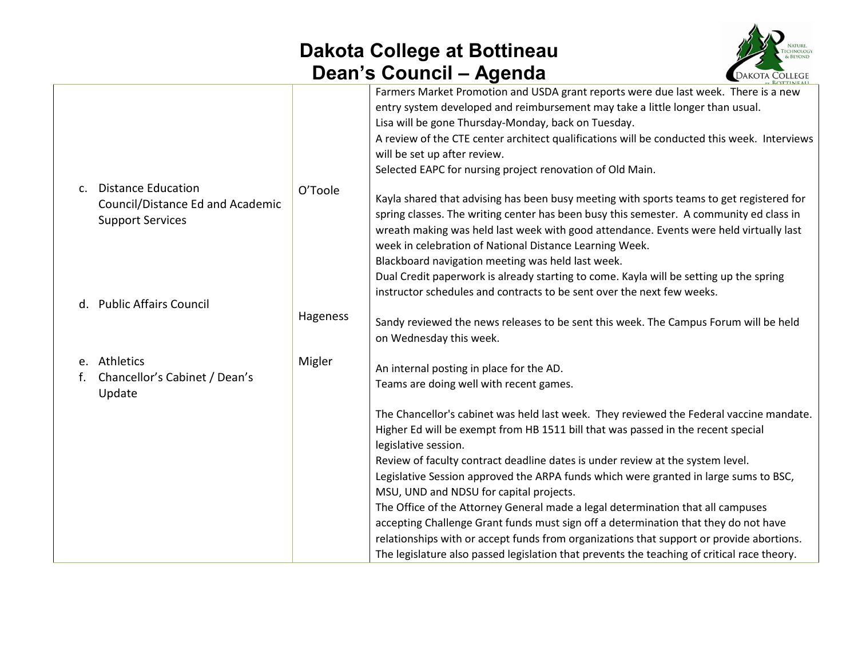## **Dakota College at Bottineau Dean's Council – Agenda**



|                                  |          | $-$ ROTTINIEALL                                                                                                                                                                                                                                                                                                           |
|----------------------------------|----------|---------------------------------------------------------------------------------------------------------------------------------------------------------------------------------------------------------------------------------------------------------------------------------------------------------------------------|
|                                  |          | Farmers Market Promotion and USDA grant reports were due last week. There is a new<br>entry system developed and reimbursement may take a little longer than usual.<br>Lisa will be gone Thursday-Monday, back on Tuesday.<br>A review of the CTE center architect qualifications will be conducted this week. Interviews |
|                                  |          | will be set up after review.                                                                                                                                                                                                                                                                                              |
|                                  |          | Selected EAPC for nursing project renovation of Old Main.                                                                                                                                                                                                                                                                 |
| c. Distance Education            | O'Toole  | Kayla shared that advising has been busy meeting with sports teams to get registered for                                                                                                                                                                                                                                  |
| Council/Distance Ed and Academic |          | spring classes. The writing center has been busy this semester. A community ed class in                                                                                                                                                                                                                                   |
| <b>Support Services</b>          |          | wreath making was held last week with good attendance. Events were held virtually last                                                                                                                                                                                                                                    |
|                                  |          | week in celebration of National Distance Learning Week.                                                                                                                                                                                                                                                                   |
|                                  |          | Blackboard navigation meeting was held last week.                                                                                                                                                                                                                                                                         |
|                                  |          | Dual Credit paperwork is already starting to come. Kayla will be setting up the spring                                                                                                                                                                                                                                    |
|                                  |          | instructor schedules and contracts to be sent over the next few weeks.                                                                                                                                                                                                                                                    |
| d. Public Affairs Council        | Hageness |                                                                                                                                                                                                                                                                                                                           |
|                                  |          | Sandy reviewed the news releases to be sent this week. The Campus Forum will be held                                                                                                                                                                                                                                      |
|                                  |          | on Wednesday this week.                                                                                                                                                                                                                                                                                                   |
| e. Athletics                     | Migler   | An internal posting in place for the AD.                                                                                                                                                                                                                                                                                  |
| Chancellor's Cabinet / Dean's    |          | Teams are doing well with recent games.                                                                                                                                                                                                                                                                                   |
| Update                           |          |                                                                                                                                                                                                                                                                                                                           |
|                                  |          | The Chancellor's cabinet was held last week. They reviewed the Federal vaccine mandate.                                                                                                                                                                                                                                   |
|                                  |          | Higher Ed will be exempt from HB 1511 bill that was passed in the recent special                                                                                                                                                                                                                                          |
|                                  |          | legislative session.                                                                                                                                                                                                                                                                                                      |
|                                  |          | Review of faculty contract deadline dates is under review at the system level.                                                                                                                                                                                                                                            |
|                                  |          | Legislative Session approved the ARPA funds which were granted in large sums to BSC,                                                                                                                                                                                                                                      |
|                                  |          | MSU, UND and NDSU for capital projects.                                                                                                                                                                                                                                                                                   |
|                                  |          | The Office of the Attorney General made a legal determination that all campuses                                                                                                                                                                                                                                           |
|                                  |          | accepting Challenge Grant funds must sign off a determination that they do not have                                                                                                                                                                                                                                       |
|                                  |          | relationships with or accept funds from organizations that support or provide abortions.                                                                                                                                                                                                                                  |
|                                  |          | The legislature also passed legislation that prevents the teaching of critical race theory.                                                                                                                                                                                                                               |